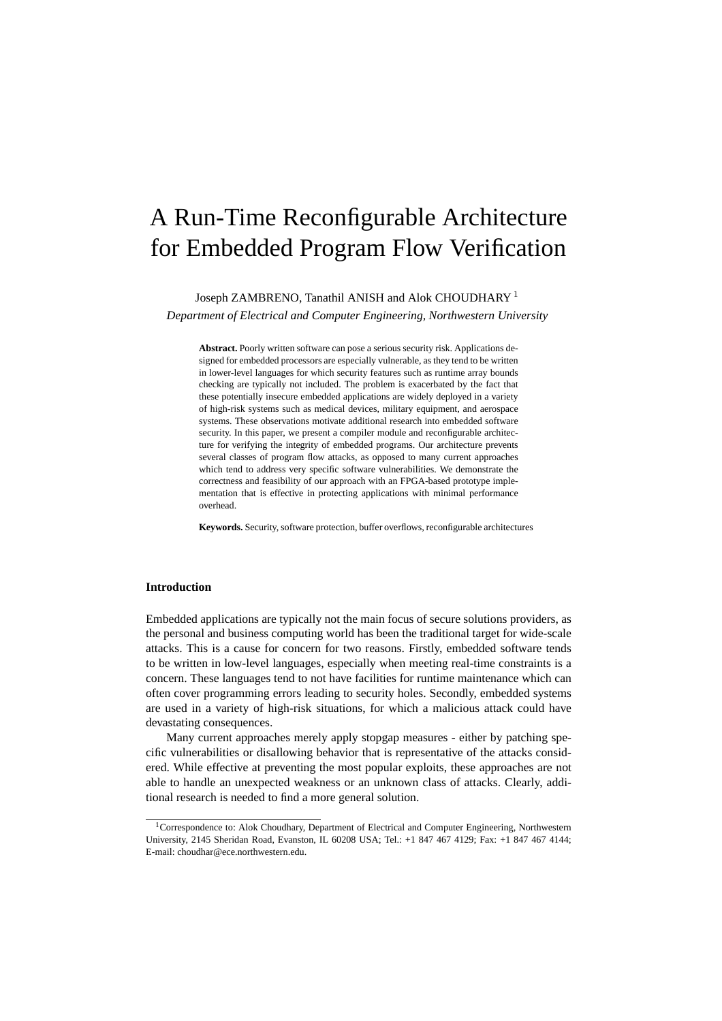# A Run-Time Reconfigurable Architecture for Embedded Program Flow Verification

Joseph ZAMBRENO, Tanathil ANISH and Alok CHOUDHARY <sup>1</sup>

*Department of Electrical and Computer Engineering, Northwestern University*

**Abstract.** Poorly written software can pose a serious security risk. Applications designed for embedded processors are especially vulnerable, as they tend to be written in lower-level languages for which security features such as runtime array bounds checking are typically not included. The problem is exacerbated by the fact that these potentially insecure embedded applications are widely deployed in a variety of high-risk systems such as medical devices, military equipment, and aerospace systems. These observations motivate additional research into embedded software security. In this paper, we present a compiler module and reconfigurable architecture for verifying the integrity of embedded programs. Our architecture prevents several classes of program flow attacks, as opposed to many current approaches which tend to address very specific software vulnerabilities. We demonstrate the correctness and feasibility of our approach with an FPGA-based prototype implementation that is effective in protecting applications with minimal performance overhead.

**Keywords.** Security, software protection, buffer overflows, reconfigurable architectures

## **Introduction**

Embedded applications are typically not the main focus of secure solutions providers, as the personal and business computing world has been the traditional target for wide-scale attacks. This is a cause for concern for two reasons. Firstly, embedded software tends to be written in low-level languages, especially when meeting real-time constraints is a concern. These languages tend to not have facilities for runtime maintenance which can often cover programming errors leading to security holes. Secondly, embedded systems are used in a variety of high-risk situations, for which a malicious attack could have devastating consequences.

Many current approaches merely apply stopgap measures - either by patching specific vulnerabilities or disallowing behavior that is representative of the attacks considered. While effective at preventing the most popular exploits, these approaches are not able to handle an unexpected weakness or an unknown class of attacks. Clearly, additional research is needed to find a more general solution.

<sup>1</sup>Correspondence to: Alok Choudhary, Department of Electrical and Computer Engineering, Northwestern University, 2145 Sheridan Road, Evanston, IL 60208 USA; Tel.: +1 847 467 4129; Fax: +1 847 467 4144; E-mail: choudhar@ece.northwestern.edu.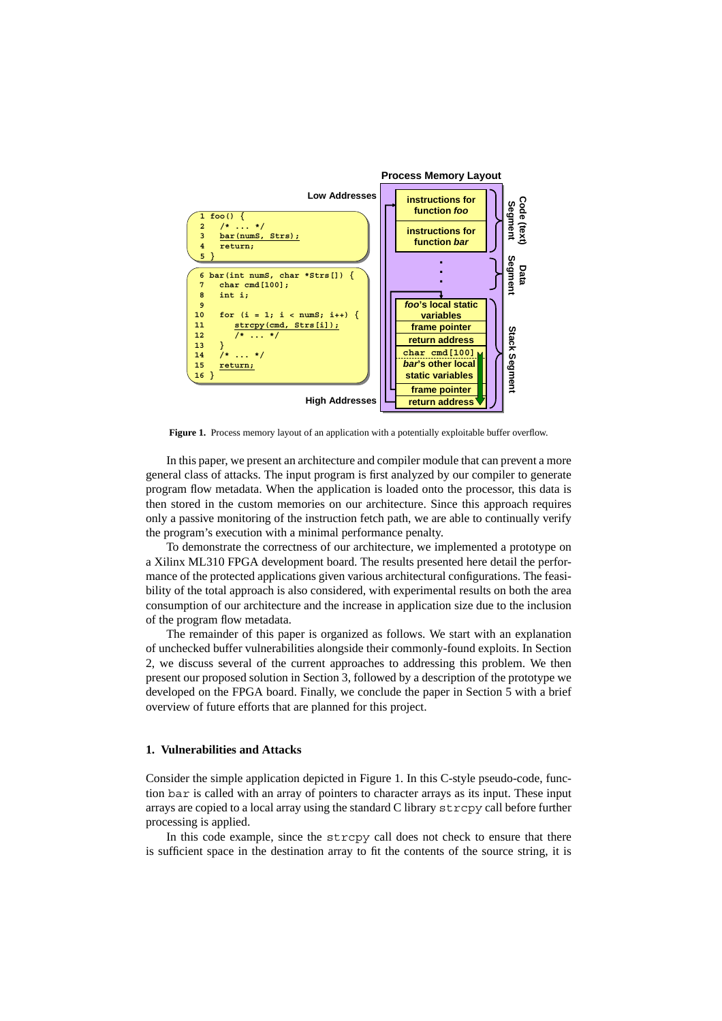

Figure 1. Process memory layout of an application with a potentially exploitable buffer overflow.

In this paper, we present an architecture and compiler module that can prevent a more general class of attacks. The input program is first analyzed by our compiler to generate program flow metadata. When the application is loaded onto the processor, this data is then stored in the custom memories on our architecture. Since this approach requires only a passive monitoring of the instruction fetch path, we are able to continually verify the program's execution with a minimal performance penalty.

To demonstrate the correctness of our architecture, we implemented a prototype on a Xilinx ML310 FPGA development board. The results presented here detail the performance of the protected applications given various architectural configurations. The feasibility of the total approach is also considered, with experimental results on both the area consumption of our architecture and the increase in application size due to the inclusion of the program flow metadata.

The remainder of this paper is organized as follows. We start with an explanation of unchecked buffer vulnerabilities alongside their commonly-found exploits. In Section 2, we discuss several of the current approaches to addressing this problem. We then present our proposed solution in Section 3, followed by a description of the prototype we developed on the FPGA board. Finally, we conclude the paper in Section 5 with a brief overview of future efforts that are planned for this project.

# **1. Vulnerabilities and Attacks**

Consider the simple application depicted in Figure 1. In this C-style pseudo-code, function bar is called with an array of pointers to character arrays as its input. These input arrays are copied to a local array using the standard C library strcpy call before further processing is applied.

In this code example, since the strcpy call does not check to ensure that there is sufficient space in the destination array to fit the contents of the source string, it is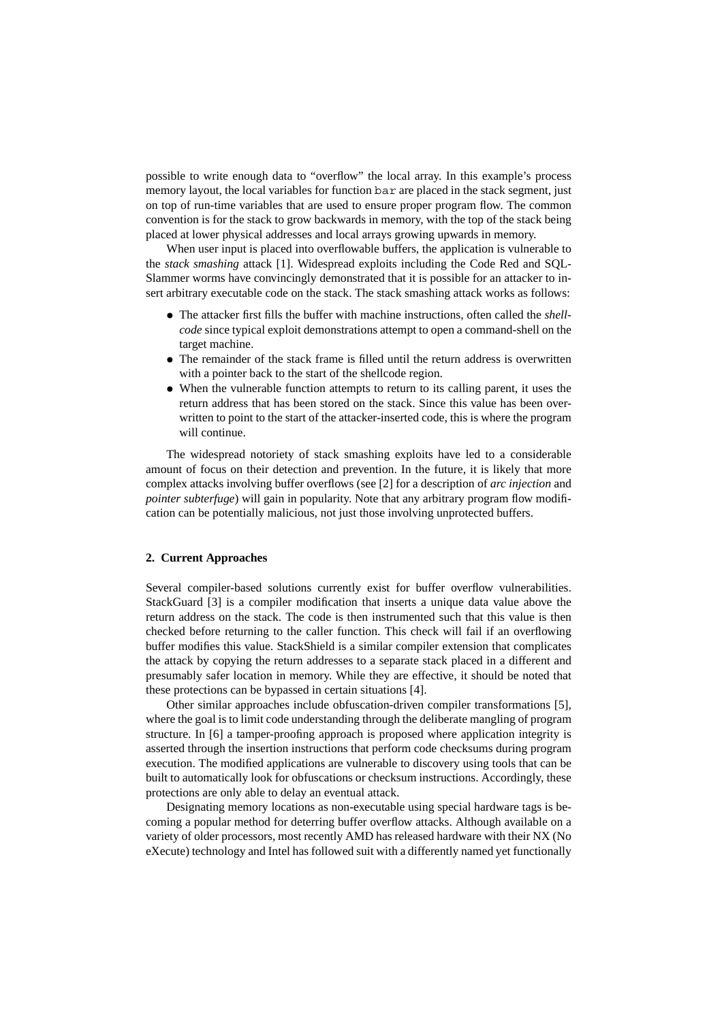possible to write enough data to "overflow" the local array. In this example's process memory layout, the local variables for function bar are placed in the stack segment, just on top of run-time variables that are used to ensure proper program flow. The common convention is for the stack to grow backwards in memory, with the top of the stack being placed at lower physical addresses and local arrays growing upwards in memory.

When user input is placed into overflowable buffers, the application is vulnerable to the *stack smashing* attack [1]. Widespread exploits including the Code Red and SQL-Slammer worms have convincingly demonstrated that it is possible for an attacker to insert arbitrary executable code on the stack. The stack smashing attack works as follows:

- The attacker first fills the buffer with machine instructions, often called the *shellcode* since typical exploit demonstrations attempt to open a command-shell on the target machine.
- *•* The remainder of the stack frame is filled until the return address is overwritten with a pointer back to the start of the shellcode region.
- When the vulnerable function attempts to return to its calling parent, it uses the return address that has been stored on the stack. Since this value has been overwritten to point to the start of the attacker-inserted code, this is where the program will continue.

The widespread notoriety of stack smashing exploits have led to a considerable amount of focus on their detection and prevention. In the future, it is likely that more complex attacks involving buffer overflows (see [2] for a description of *arc injection* and *pointer subterfuge*) will gain in popularity. Note that any arbitrary program flow modification can be potentially malicious, not just those involving unprotected buffers.

# **2. Current Approaches**

Several compiler-based solutions currently exist for buffer overflow vulnerabilities. StackGuard [3] is a compiler modification that inserts a unique data value above the return address on the stack. The code is then instrumented such that this value is then checked before returning to the caller function. This check will fail if an overflowing buffer modifies this value. StackShield is a similar compiler extension that complicates the attack by copying the return addresses to a separate stack placed in a different and presumably safer location in memory. While they are effective, it should be noted that these protections can be bypassed in certain situations [4].

Other similar approaches include obfuscation-driven compiler transformations [5], where the goal is to limit code understanding through the deliberate mangling of program structure. In [6] a tamper-proofing approach is proposed where application integrity is asserted through the insertion instructions that perform code checksums during program execution. The modified applications are vulnerable to discovery using tools that can be built to automatically look for obfuscations or checksum instructions. Accordingly, these protections are only able to delay an eventual attack.

Designating memory locations as non-executable using special hardware tags is becoming a popular method for deterring buffer overflow attacks. Although available on a variety of older processors, most recently AMD has released hardware with their NX (No eXecute) technology and Intel has followed suit with a differently named yet functionally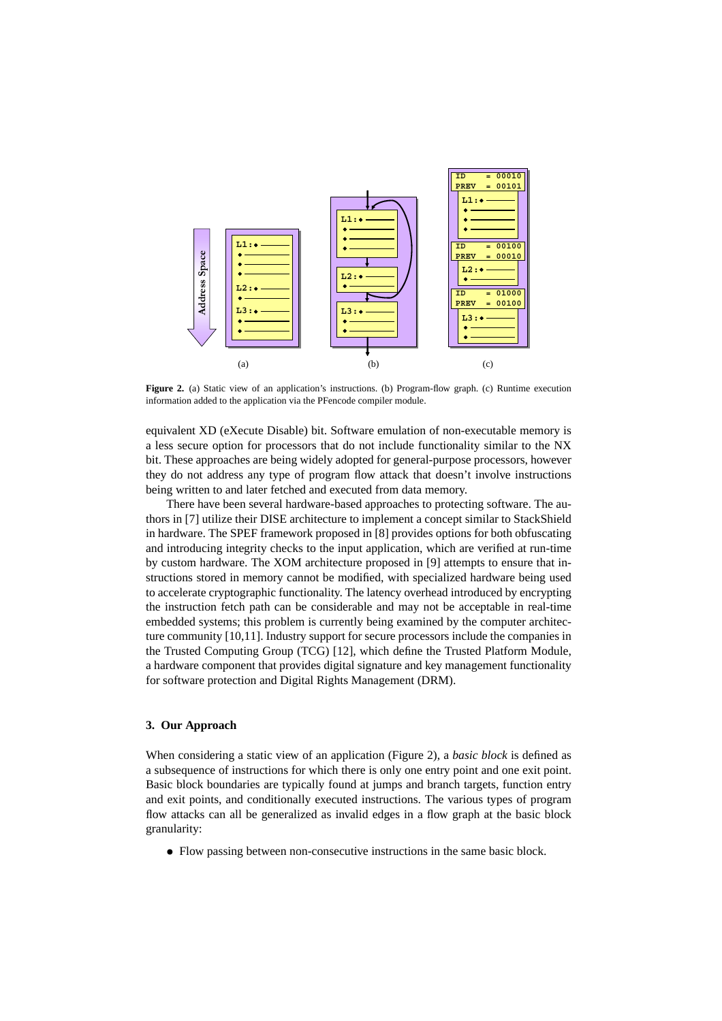

**Figure 2.** (a) Static view of an application's instructions. (b) Program-flow graph. (c) Runtime execution information added to the application via the PFencode compiler module.

equivalent XD (eXecute Disable) bit. Software emulation of non-executable memory is a less secure option for processors that do not include functionality similar to the NX bit. These approaches are being widely adopted for general-purpose processors, however they do not address any type of program flow attack that doesn't involve instructions being written to and later fetched and executed from data memory.

There have been several hardware-based approaches to protecting software. The authors in [7] utilize their DISE architecture to implement a concept similar to StackShield in hardware. The SPEF framework proposed in [8] provides options for both obfuscating and introducing integrity checks to the input application, which are verified at run-time by custom hardware. The XOM architecture proposed in [9] attempts to ensure that instructions stored in memory cannot be modified, with specialized hardware being used to accelerate cryptographic functionality. The latency overhead introduced by encrypting the instruction fetch path can be considerable and may not be acceptable in real-time embedded systems; this problem is currently being examined by the computer architecture community [10,11]. Industry support for secure processors include the companies in the Trusted Computing Group (TCG) [12], which define the Trusted Platform Module, a hardware component that provides digital signature and key management functionality for software protection and Digital Rights Management (DRM).

# **3. Our Approach**

When considering a static view of an application (Figure 2), a *basic block* is defined as a subsequence of instructions for which there is only one entry point and one exit point. Basic block boundaries are typically found at jumps and branch targets, function entry and exit points, and conditionally executed instructions. The various types of program flow attacks can all be generalized as invalid edges in a flow graph at the basic block granularity:

*•* Flow passing between non-consecutive instructions in the same basic block.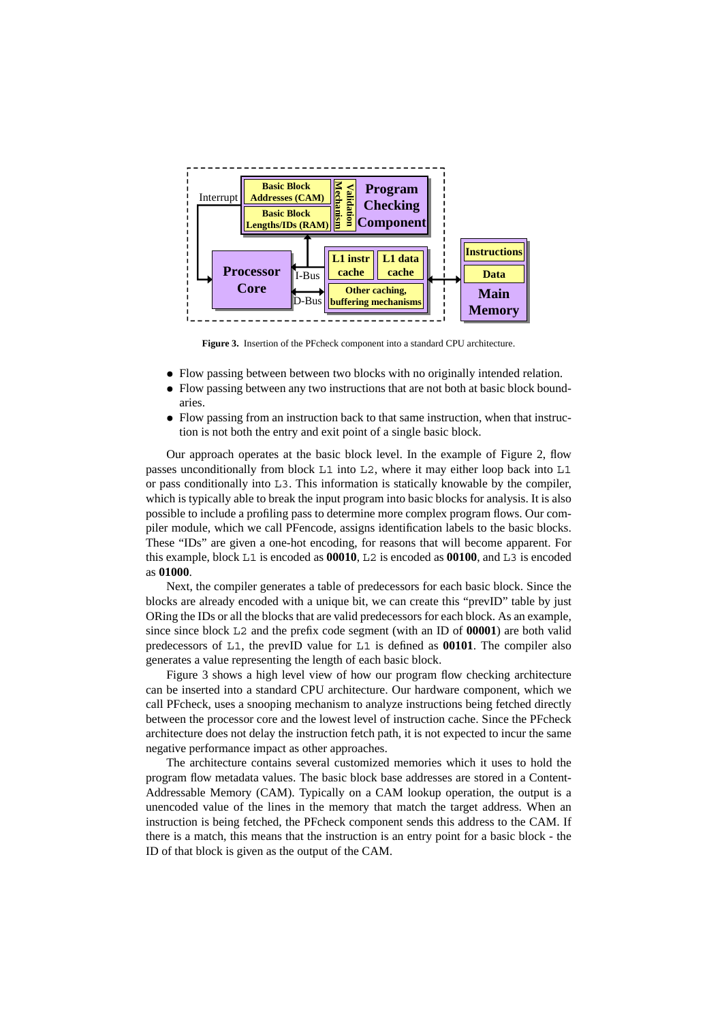

**Figure 3.** Insertion of the PFcheck component into a standard CPU architecture.

- Flow passing between between two blocks with no originally intended relation.
- Flow passing between any two instructions that are not both at basic block boundaries.
- Flow passing from an instruction back to that same instruction, when that instruction is not both the entry and exit point of a single basic block.

Our approach operates at the basic block level. In the example of Figure 2, flow passes unconditionally from block L1 into L2, where it may either loop back into L1 or pass conditionally into L3. This information is statically knowable by the compiler, which is typically able to break the input program into basic blocks for analysis. It is also possible to include a profiling pass to determine more complex program flows. Our compiler module, which we call PFencode, assigns identification labels to the basic blocks. These "IDs" are given a one-hot encoding, for reasons that will become apparent. For this example, block L1 is encoded as **00010**, L2 is encoded as **00100**, and L3 is encoded as **01000**.

Next, the compiler generates a table of predecessors for each basic block. Since the blocks are already encoded with a unique bit, we can create this "prevID" table by just ORing the IDs or all the blocks that are valid predecessors for each block. As an example, since since block L2 and the prefix code segment (with an ID of **00001**) are both valid predecessors of L1, the prevID value for L1 is defined as **00101**. The compiler also generates a value representing the length of each basic block.

Figure 3 shows a high level view of how our program flow checking architecture can be inserted into a standard CPU architecture. Our hardware component, which we call PFcheck, uses a snooping mechanism to analyze instructions being fetched directly between the processor core and the lowest level of instruction cache. Since the PFcheck architecture does not delay the instruction fetch path, it is not expected to incur the same negative performance impact as other approaches.

The architecture contains several customized memories which it uses to hold the program flow metadata values. The basic block base addresses are stored in a Content-Addressable Memory (CAM). Typically on a CAM lookup operation, the output is a unencoded value of the lines in the memory that match the target address. When an instruction is being fetched, the PFcheck component sends this address to the CAM. If there is a match, this means that the instruction is an entry point for a basic block - the ID of that block is given as the output of the CAM.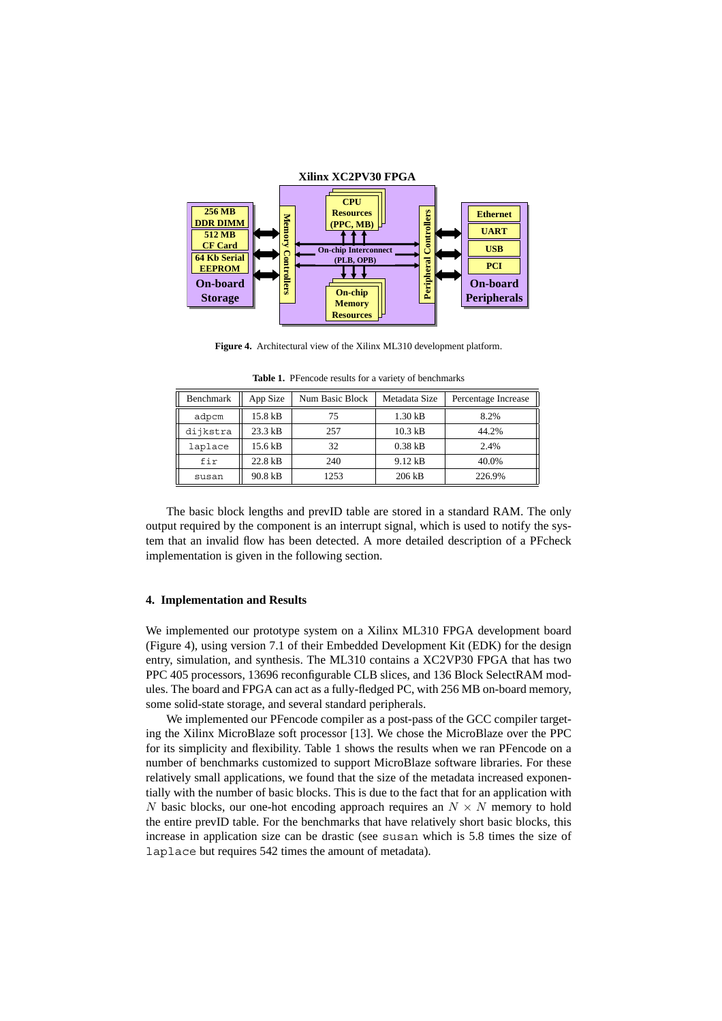

**Figure 4.** Architectural view of the Xilinx ML310 development platform.

| Benchmark | App Size  | Num Basic Block | Metadata Size | Percentage Increase |
|-----------|-----------|-----------------|---------------|---------------------|
| adpcm     | 15.8 kB   | 75              | $1.30$ kB     | 8.2%                |
| dijkstra  | $23.3$ kB | 257             | $10.3$ kB     | 44.2%               |
| laplace   | 15.6 kB   | 32              | $0.38$ kB     | 2.4%                |
| fir       | 22.8 kB   | 240             | 9.12 kB       | 40.0%               |
| susan     | 90.8 kB   | 1253            | $206$ kB      | 226.9%              |

Table 1. PFencode results for a variety of benchmarks

The basic block lengths and prevID table are stored in a standard RAM. The only output required by the component is an interrupt signal, which is used to notify the system that an invalid flow has been detected. A more detailed description of a PFcheck implementation is given in the following section.

#### **4. Implementation and Results**

We implemented our prototype system on a Xilinx ML310 FPGA development board (Figure 4), using version 7.1 of their Embedded Development Kit (EDK) for the design entry, simulation, and synthesis. The ML310 contains a XC2VP30 FPGA that has two PPC 405 processors, 13696 reconfigurable CLB slices, and 136 Block SelectRAM modules. The board and FPGA can act as a fully-fledged PC, with 256 MB on-board memory, some solid-state storage, and several standard peripherals.

We implemented our PFencode compiler as a post-pass of the GCC compiler targeting the Xilinx MicroBlaze soft processor [13]. We chose the MicroBlaze over the PPC for its simplicity and flexibility. Table 1 shows the results when we ran PFencode on a number of benchmarks customized to support MicroBlaze software libraries. For these relatively small applications, we found that the size of the metadata increased exponentially with the number of basic blocks. This is due to the fact that for an application with *N* basic blocks, our one-hot encoding approach requires an  $N \times N$  memory to hold the entire prevID table. For the benchmarks that have relatively short basic blocks, this increase in application size can be drastic (see susan which is 5.8 times the size of laplace but requires 542 times the amount of metadata).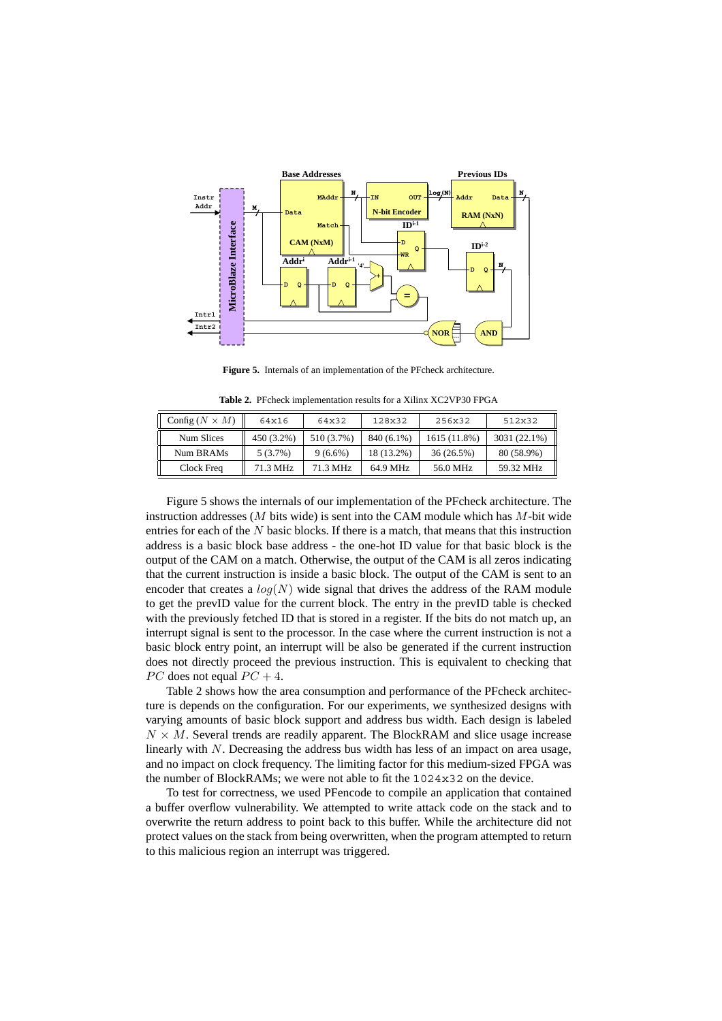

**Figure 5.** Internals of an implementation of the PFcheck architecture.

**Table 2.** PFcheck implementation results for a Xilinx XC2VP30 FPGA

| Config ( $N \times M$ ) | 64x16      | 64x32      | 128x32     | 256x32       | 512x32       |
|-------------------------|------------|------------|------------|--------------|--------------|
| Num Slices              | 450 (3.2%) | 510 (3.7%) | 840 (6.1%) | 1615 (11.8%) | 3031 (22.1%) |
| Num BRAMs               | 5(3.7%)    | $9(6.6\%)$ | 18 (13.2%) | 36 (26.5%)   | 80 (58.9%)   |
| Clock Freq              | 71.3 MHz   | 71.3 MHz   | 64.9 MHz   | 56.0 MHz     | 59.32 MHz    |

Figure 5 shows the internals of our implementation of the PFcheck architecture. The instruction addresses (*M* bits wide) is sent into the CAM module which has *M*-bit wide entries for each of the *N* basic blocks. If there is a match, that means that this instruction address is a basic block base address - the one-hot ID value for that basic block is the output of the CAM on a match. Otherwise, the output of the CAM is all zeros indicating that the current instruction is inside a basic block. The output of the CAM is sent to an encoder that creates a  $log(N)$  wide signal that drives the address of the RAM module to get the prevID value for the current block. The entry in the prevID table is checked with the previously fetched ID that is stored in a register. If the bits do not match up, an interrupt signal is sent to the processor. In the case where the current instruction is not a basic block entry point, an interrupt will be also be generated if the current instruction does not directly proceed the previous instruction. This is equivalent to checking that *PC* does not equal  $PC + 4$ .

Table 2 shows how the area consumption and performance of the PFcheck architecture is depends on the configuration. For our experiments, we synthesized designs with varying amounts of basic block support and address bus width. Each design is labeled  $N \times M$ . Several trends are readily apparent. The BlockRAM and slice usage increase linearly with *N*. Decreasing the address bus width has less of an impact on area usage, and no impact on clock frequency. The limiting factor for this medium-sized FPGA was the number of BlockRAMs; we were not able to fit the 1024x32 on the device.

To test for correctness, we used PFencode to compile an application that contained a buffer overflow vulnerability. We attempted to write attack code on the stack and to overwrite the return address to point back to this buffer. While the architecture did not protect values on the stack from being overwritten, when the program attempted to return to this malicious region an interrupt was triggered.